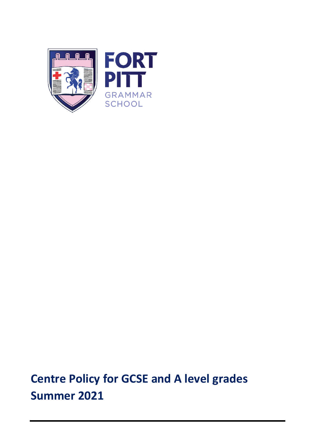

**Centre Policy for GCSE and A level grades Summer 2021**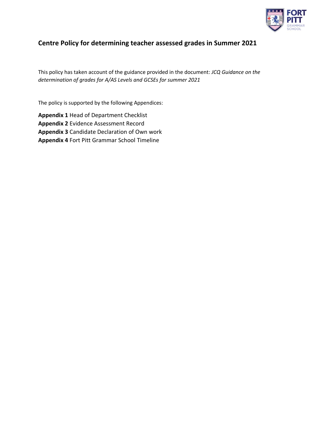

# **Centre Policy for determining teacher assessed grades in Summer 2021**

This policy has taken account of the guidance provided in the document: *JCQ Guidance on the determination of grades for A/AS Levels and GCSEs for summer 2021*

The policy is supported by the following Appendices:

**Appendix 1** Head of Department Checklist **Appendix 2** Evidence Assessment Record **Appendix 3** Candidate Declaration of Own work **Appendix 4** Fort Pitt Grammar School Timeline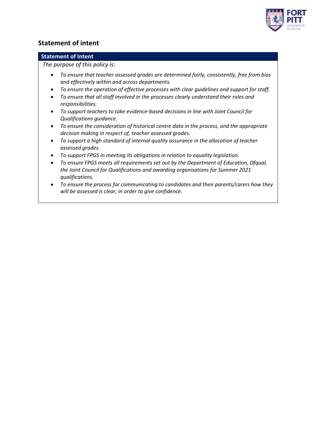

### **Statement of intent**

### **Statement of Intent**

*The purpose of this policy is:*

- *To ensure that teacher assessed grades are determined fairly, consistently, free from bias and effectively within and across departments.*
- *To ensure the operation of effective processes with clear guidelines and support for staff.*
- *To ensure that all staff involved in the processes clearly understand their roles and responsibilities.*
- *To support teachers to take evidence-based decisions in line with Joint Council for Qualifications guidance.*
- *To ensure the consideration of historical centre data in the process, and the appropriate decision making in respect of, teacher assessed grades.*
- *To support a high standard of internal quality assurance in the allocation of teacher assessed grades.*
- *To support FPGS in meeting its obligations in relation to equality legislation.*
- *To ensure FPGS meets all requirements set out by the Department of Education, Ofqual, the Joint Council for Qualifications and awarding organisations for Summer 2021 qualifications.*
- *To ensure the process for communicating to candidates and their parents/carers how they will be assessed is clear, in order to give confidence.*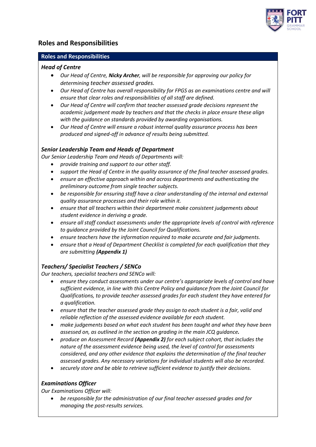

## **Roles and Responsibilities**

### **Roles and Responsibilities**

### *Head of Centre*

- *Our Head of Centre, Nicky Archer, will be responsible for approving our policy for determining teacher assessed grades.*
- *Our Head of Centre has overall responsibility for FPGS as an examinations centre and will ensure that clear roles and responsibilities of all staff are defined.*
- *Our Head of Centre will confirm that teacher assessed grade decisions represent the academic judgement made by teachers and that the checks in place ensure these align with the guidance on standards provided by awarding organisations.*
- *Our Head of Centre will ensure a robust internal quality assurance process has been produced and signed-off in advance of results being submitted.*

### *Senior Leadership Team and Heads of Department*

*Our Senior Leadership Team and Heads of Departments will:*

- *provide training and support to our other staff.*
- *support the Head of Centre in the quality assurance of the final teacher assessed grades.*
- *ensure an effective approach within and across departments and authenticating the preliminary outcome from single teacher subjects.*
- *be responsible for ensuring staff have a clear understanding of the internal and external quality assurance processes and their role within it.*
- *ensure that all teachers within their department make consistent judgements about student evidence in deriving a grade.*
- *ensure all staff conduct assessments under the appropriate levels of control with reference to guidance provided by the Joint Council for Qualifications.*
- *ensure teachers have the information required to make accurate and fair judgments.*
- *ensure that a Head of Department Checklist is completed for each qualification that they are submitting (Appendix 1)*

### *Teachers/ Specialist Teachers / SENCo*

*Our teachers, specialist teachers and SENCo will:*

- *ensure they conduct assessments under our centre's appropriate levels of control and have sufficient evidence, in line with this Centre Policy and guidance from the Joint Council for Qualifications, to provide teacher assessed grades for each student they have entered for a qualification.*
- *ensure that the teacher assessed grade they assign to each student is a fair, valid and reliable reflection of the assessed evidence available for each student.*
- *make judgements based on what each student has been taught and what they have been assessed on, as outlined in the section on grading in the main JCQ guidance.*
- *produce an Assessment Record (Appendix 2) for each subject cohort, that includes the nature of the assessment evidence being used, the level of control for assessments considered, and any other evidence that explains the determination of the final teacher assessed grades. Any necessary variations for individual students will also be recorded.*
- *securely store and be able to retrieve sufficient evidence to justify their decisions.*

### *Examinations Officer*

*Our Examinations Officer will:*

• *be responsible for the administration of our final teacher assessed grades and for managing the post-results services.*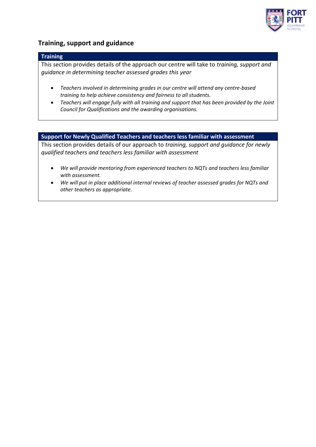

### **Training, support and guidance**

### **Training**

This section provides details of the approach our centre will take to *training, support and guidance in determining teacher assessed grades this year*

- *Teachers involved in determining grades in our centre will attend any centre-based training to help achieve consistency and fairness to all students.*
- *Teachers will engage fully with all training and support that has been provided by the Joint Council for Qualifications and the awarding organisations.*

### **Support for Newly Qualified Teachers and teachers less familiar with assessment**

This section provides details of our approach to *training, support and guidance for newly qualified teachers and teachers less familiar with assessment*

- *We will provide mentoring from experienced teachers to NQTs and teachers less familiar with assessment.*
- *We will put in place additional internal reviews of teacher assessed grades for NQTs and other teachers as appropriate.*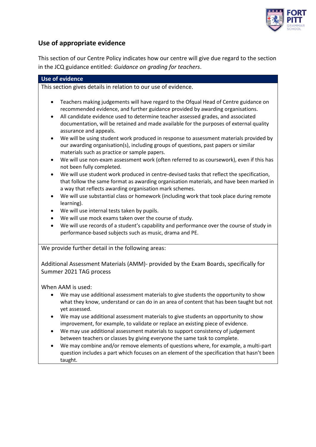

# **Use of appropriate evidence**

This section of our Centre Policy indicates how our centre will give due regard to the section in the JCQ guidance entitled: *Guidance on grading for teachers*.

|                | <b>Use of evidence</b>                                                                                                                                                                                                                                                                                                                                                          |
|----------------|---------------------------------------------------------------------------------------------------------------------------------------------------------------------------------------------------------------------------------------------------------------------------------------------------------------------------------------------------------------------------------|
|                | This section gives details in relation to our use of evidence.                                                                                                                                                                                                                                                                                                                  |
| ٠<br>$\bullet$ | Teachers making judgements will have regard to the Ofqual Head of Centre guidance on<br>recommended evidence, and further guidance provided by awarding organisations.<br>All candidate evidence used to determine teacher assessed grades, and associated<br>documentation, will be retained and made available for the purposes of external quality<br>assurance and appeals. |
| ٠              | We will be using student work produced in response to assessment materials provided by<br>our awarding organisation(s), including groups of questions, past papers or similar<br>materials such as practice or sample papers.                                                                                                                                                   |
| ٠              | We will use non-exam assessment work (often referred to as coursework), even if this has<br>not been fully completed.                                                                                                                                                                                                                                                           |
| $\bullet$      | We will use student work produced in centre-devised tasks that reflect the specification,<br>that follow the same format as awarding organisation materials, and have been marked in<br>a way that reflects awarding organisation mark schemes.                                                                                                                                 |
| $\bullet$      | We will use substantial class or homework (including work that took place during remote<br>learning).                                                                                                                                                                                                                                                                           |
|                | We will use internal tests taken by pupils.                                                                                                                                                                                                                                                                                                                                     |
|                | We will use mock exams taken over the course of study.                                                                                                                                                                                                                                                                                                                          |
| $\bullet$      | We will use records of a student's capability and performance over the course of study in<br>performance-based subjects such as music, drama and PE.                                                                                                                                                                                                                            |
|                | We provide further detail in the following areas:                                                                                                                                                                                                                                                                                                                               |
|                | Additional Assessment Materials (AMM)- provided by the Exam Boards, specifically for<br>Summer 2021 TAG process                                                                                                                                                                                                                                                                 |
|                | When AAM is used:                                                                                                                                                                                                                                                                                                                                                               |
|                | We may use additional assessment materials to give students the opportunity to show<br>what they know, understand or can do in an area of content that has been taught but not<br>yet assessed.                                                                                                                                                                                 |
|                | We may use additional assessment materials to give students an opportunity to show<br>improvement, for example, to validate or replace an existing piece of evidence.<br>We may use additional assessment materials to support consistency of judgement                                                                                                                         |
|                | between teachers or classes by giving everyone the same task to complete.<br>We may combine and/or remove elements of questions where, for example, a multi-part                                                                                                                                                                                                                |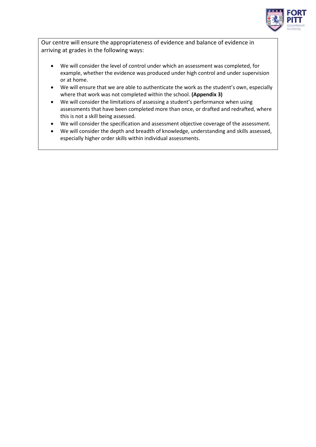

Our centre will ensure the appropriateness of evidence and balance of evidence in arriving at grades in the following ways:

- We will consider the level of control under which an assessment was completed, for example, whether the evidence was produced under high control and under supervision or at home.
- We will ensure that we are able to authenticate the work as the student's own, especially where that work was not completed within the school. **(Appendix 3)**
- We will consider the limitations of assessing a student's performance when using assessments that have been completed more than once, or drafted and redrafted, where this is not a skill being assessed.
- We will consider the specification and assessment objective coverage of the assessment.
- We will consider the depth and breadth of knowledge, understanding and skills assessed, especially higher order skills within individual assessments.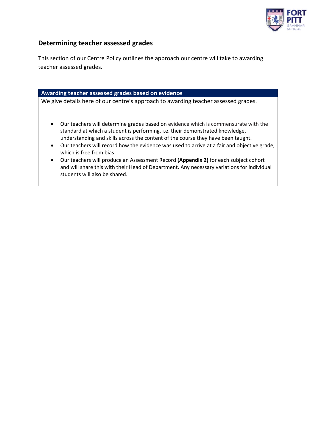

### **Determining teacher assessed grades**

This section of our Centre Policy outlines the approach our centre will take to awarding teacher assessed grades.

#### **Awarding teacher assessed grades based on evidence**

We give details here of our centre's approach to awarding teacher assessed grades.

- Our teachers will determine grades based on evidence which is commensurate with the standard at which a student is performing, i.e. their demonstrated knowledge, understanding and skills across the content of the course they have been taught.
- Our teachers will record how the evidence was used to arrive at a fair and objective grade, which is free from bias.
- Our teachers will produce an Assessment Record **(Appendix 2)** for each subject cohort and will share this with their Head of Department. Any necessary variations for individual students will also be shared.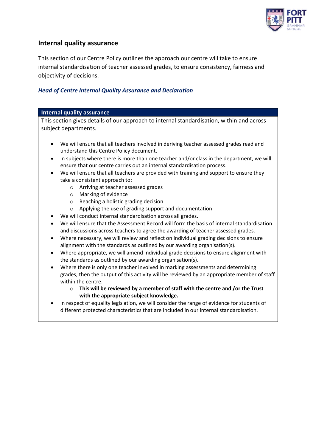

### **Internal quality assurance**

This section of our Centre Policy outlines the approach our centre will take to ensure internal standardisation of teacher assessed grades, to ensure consistency, fairness and objectivity of decisions.

### *Head of Centre Internal Quality Assurance and Declaration*

#### **Internal quality assurance**

This section gives details of our approach to internal standardisation, within and across subject departments.

- We will ensure that all teachers involved in deriving teacher assessed grades read and understand this Centre Policy document.
- In subjects where there is more than one teacher and/or class in the department, we will ensure that our centre carries out an internal standardisation process.
- We will ensure that all teachers are provided with training and support to ensure they take a consistent approach to:
	- o Arriving at teacher assessed grades
	- o Marking of evidence
	- o Reaching a holistic grading decision
	- o Applying the use of grading support and documentation
- We will conduct internal standardisation across all grades.
- We will ensure that the Assessment Record will form the basis of internal standardisation and discussions across teachers to agree the awarding of teacher assessed grades.
- Where necessary, we will review and reflect on individual grading decisions to ensure alignment with the standards as outlined by our awarding organisation(s).
- Where appropriate, we will amend individual grade decisions to ensure alignment with the standards as outlined by our awarding organisation(s).
- Where there is only one teacher involved in marking assessments and determining grades, then the output of this activity will be reviewed by an appropriate member of staff within the centre.
	- o **This will be reviewed by a member of staff with the centre and /or the Trust with the appropriate subject knowledge.**
- In respect of equality legislation, we will consider the range of evidence for students of different protected characteristics that are included in our internal standardisation.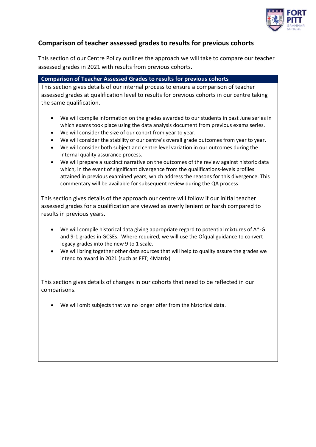

# **Comparison of teacher assessed grades to results for previous cohorts**

This section of our Centre Policy outlines the approach we will take to compare our teacher assessed grades in 2021 with results from previous cohorts.

### **Comparison of Teacher Assessed Grades to results for previous cohorts**

This section gives details of our internal process to ensure a comparison of teacher assessed grades at qualification level to results for previous cohorts in our centre taking the same qualification.

- We will compile information on the grades awarded to our students in past June series in which exams took place using the data analysis document from previous exams series.
- We will consider the size of our cohort from year to year.
- We will consider the stability of our centre's overall grade outcomes from year to year.
- We will consider both subject and centre level variation in our outcomes during the internal quality assurance process.
- We will prepare a succinct narrative on the outcomes of the review against historic data which, in the event of significant divergence from the qualifications-levels profiles attained in previous examined years, which address the reasons for this divergence. This commentary will be available for subsequent review during the QA process.

This section gives details of the approach our centre will follow if our initial teacher assessed grades for a qualification are viewed as overly lenient or harsh compared to results in previous years.

- We will compile historical data giving appropriate regard to potential mixtures of A\*-G and 9-1 grades in GCSEs. Where required, we will use the Ofqual guidance to convert legacy grades into the new 9 to 1 scale.
- We will bring together other data sources that will help to quality assure the grades we intend to award in 2021 (such as FFT; 4Matrix)

This section gives details of changes in our cohorts that need to be reflected in our comparisons.

• We will omit subjects that we no longer offer from the historical data.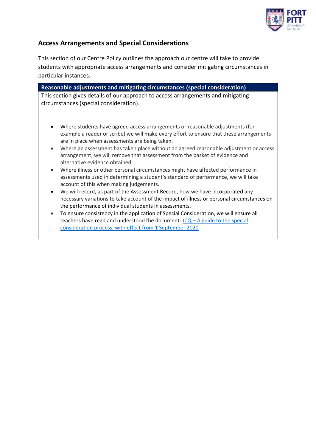

# **Access Arrangements and Special Considerations**

This section of our Centre Policy outlines the approach our centre will take to provide students with appropriate access arrangements and consider mitigating circumstances in particular instances.

| Reasonable adjustments and mitigating circumstances (special consideration)                                                               |  |  |  |
|-------------------------------------------------------------------------------------------------------------------------------------------|--|--|--|
| This section gives details of our approach to access arrangements and mitigating                                                          |  |  |  |
| circumstances (special consideration).                                                                                                    |  |  |  |
|                                                                                                                                           |  |  |  |
|                                                                                                                                           |  |  |  |
| Where students have agreed access arrangements or reasonable adjustments (for<br>$\bullet$                                                |  |  |  |
| example a reader or scribe) we will make every effort to ensure that these arrangements<br>are in place when assessments are being taken. |  |  |  |
| Where an assessment has taken place without an agreed reasonable adjustment or access<br>$\bullet$                                        |  |  |  |
| arrangement, we will remove that assessment from the basket of evidence and                                                               |  |  |  |
| alternative evidence obtained.                                                                                                            |  |  |  |
| Where illness or other personal circumstances might have affected performance in<br>$\bullet$                                             |  |  |  |
| assessments used in determining a student's standard of performance, we will take                                                         |  |  |  |
| account of this when making judgements.                                                                                                   |  |  |  |
| We will record, as part of the Assessment Record, how we have incorporated any<br>$\bullet$                                               |  |  |  |
| necessary variations to take account of the impact of illness or personal circumstances on                                                |  |  |  |
| the performance of individual students in assessments.                                                                                    |  |  |  |
| To ensure consistency in the application of Special Consideration, we will ensure all<br>$\bullet$                                        |  |  |  |
| teachers have read and understood the document: $JCQ - A$ guide to the special                                                            |  |  |  |

[consideration process, with effect from 1 September 2020](https://www.jcq.org.uk/wp-content/uploads/2020/08/A-guide-to-the-spec-con-process-202021-Website-version.pdf)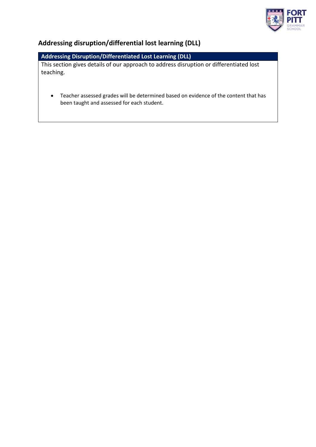

# **Addressing disruption/differential lost learning (DLL)**

# **Addressing Disruption/Differentiated Lost Learning (DLL)**

This section gives details of our approach to address disruption or differentiated lost teaching.

• Teacher assessed grades will be determined based on evidence of the content that has been taught and assessed for each student.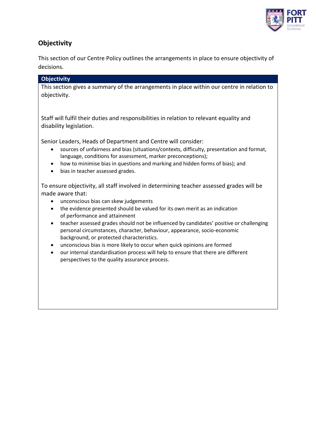

# **Objectivity**

This section of our Centre Policy outlines the arrangements in place to ensure objectivity of decisions.

### **Objectivity**

This section gives a summary of the arrangements in place within our centre in relation to objectivity.

Staff will fulfil their duties and responsibilities in relation to relevant equality and disability legislation.

Senior Leaders, Heads of Department and Centre will consider:

- sources of unfairness and bias (situations/contexts, difficulty, presentation and format, language, conditions for assessment, marker preconceptions);
- how to minimise bias in questions and marking and hidden forms of bias); and
- bias in teacher assessed grades.

To ensure objectivity, all staff involved in determining teacher assessed grades will be made aware that:

- unconscious bias can skew judgements
- the evidence presented should be valued for its own merit as an indication of performance and attainment
- teacher assessed grades should not be influenced by candidates' positive or challenging personal circumstances, character, behaviour, appearance, socio-economic background, or protected characteristics.
- unconscious bias is more likely to occur when quick opinions are formed
- our internal standardisation process will help to ensure that there are different perspectives to the quality assurance process.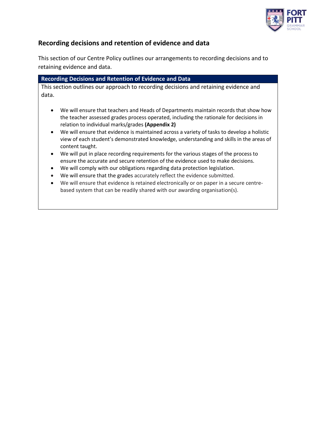

## **Recording decisions and retention of evidence and data**

This section of our Centre Policy outlines our arrangements to recording decisions and to retaining evidence and data.

| <b>Recording Decisions and Retention of Evidence and Data</b>                        |  |  |  |
|--------------------------------------------------------------------------------------|--|--|--|
| This section outlines our approach to recording decisions and retaining evidence and |  |  |  |
| data.                                                                                |  |  |  |

- We will ensure that teachers and Heads of Departments maintain records that show how the teacher assessed grades process operated, including the rationale for decisions in relation to individual marks/grades **(Appendix 2)**
- We will ensure that evidence is maintained across a variety of tasks to develop a holistic view of each student's demonstrated knowledge, understanding and skills in the areas of content taught.
- We will put in place recording requirements for the various stages of the process to ensure the accurate and secure retention of the evidence used to make decisions.
- We will comply with our obligations regarding data protection legislation.
- We will ensure that the grades accurately reflect the evidence submitted.
- We will ensure that evidence is retained electronically or on paper in a secure centrebased system that can be readily shared with our awarding organisation(s).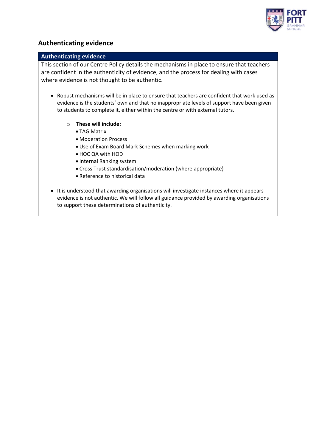

### **Authenticating evidence**

### **Authenticating evidence**

This section of our Centre Policy details the mechanisms in place to ensure that teachers are confident in the authenticity of evidence, and the process for dealing with cases where evidence is not thought to be authentic.

- Robust mechanisms will be in place to ensure that teachers are confident that work used as evidence is the students' own and that no inappropriate levels of support have been given to students to complete it, either within the centre or with external tutors.
	- o **These will include:**
		- TAG Matrix
		- Moderation Process
		- Use of Exam Board Mark Schemes when marking work
		- HOC QA with HOD
		- Internal Ranking system
		- Cross Trust standardisation/moderation (where appropriate)
		- Reference to historical data
- It is understood that awarding organisations will investigate instances where it appears evidence is not authentic. We will follow all guidance provided by awarding organisations to support these determinations of authenticity.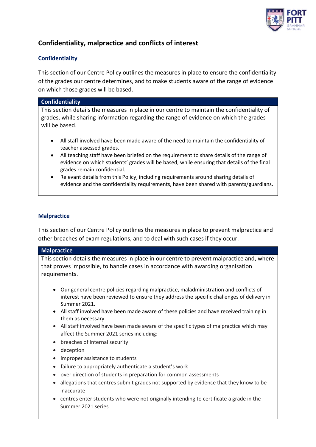

# **Confidentiality, malpractice and conflicts of interest**

### **Confidentiality**

This section of our Centre Policy outlines the measures in place to ensure the confidentiality of the grades our centre determines, and to make students aware of the range of evidence on which those grades will be based.

### **Confidentiality**

This section details the measures in place in our centre to maintain the confidentiality of grades, while sharing information regarding the range of evidence on which the grades will be based.

- All staff involved have been made aware of the need to maintain the confidentiality of teacher assessed grades.
- All teaching staff have been briefed on the requirement to share details of the range of evidence on which students' grades will be based, while ensuring that details of the final grades remain confidential.
- Relevant details from this Policy, including requirements around sharing details of evidence and the confidentiality requirements, have been shared with parents/guardians.

### **Malpractice**

This section of our Centre Policy outlines the measures in place to prevent malpractice and other breaches of exam regulations, and to deal with such cases if they occur.

### **Malpractice**

This section details the measures in place in our centre to prevent malpractice and, where that proves impossible, to handle cases in accordance with awarding organisation requirements.

- Our general centre policies regarding malpractice, maladministration and conflicts of interest have been reviewed to ensure they address the specific challenges of delivery in Summer 2021.
- All staff involved have been made aware of these policies and have received training in them as necessary.
- All staff involved have been made aware of the specific types of malpractice which may affect the Summer 2021 series including:
- breaches of internal security
- deception
- improper assistance to students
- failure to appropriately authenticate a student's work
- over direction of students in preparation for common assessments
- allegations that centres submit grades not supported by evidence that they know to be inaccurate
- centres enter students who were not originally intending to certificate a grade in the Summer 2021 series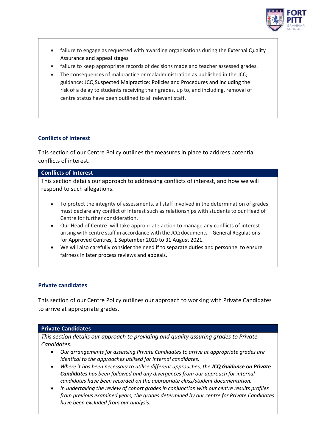

- failure to engage as requested with awarding organisations during the External Quality Assurance and appeal stages
- failure to keep appropriate records of decisions made and teacher assessed grades.
- The consequences of malpractice or maladministration as published in the JCQ guidance: JCQ Suspected Malpractice: Policies and Procedures and including the risk of a delay to students receiving their grades, up to, and including, removal of centre status have been outlined to all relevant staff.

### **Conflicts of Interest**

This section of our Centre Policy outlines the measures in place to address potential conflicts of interest.

### **Conflicts of Interest**

This section details our approach to addressing conflicts of interest, and how we will respond to such allegations.

- To protect the integrity of assessments, all staff involved in the determination of grades must declare any conflict of interest such as relationships with students to our Head of Centre for further consideration.
- Our Head of Centre will take appropriate action to manage any conflicts of interest arising with centre staff in accordance with the JCQ documents - [General Regulations](https://www.jcq.org.uk/wp-content/uploads/2020/09/Gen_regs_approved_centres_20-21_FINAL.pdf)  [for Approved Centres, 1 September 2020 to 31 August 2021.](https://www.jcq.org.uk/wp-content/uploads/2020/09/Gen_regs_approved_centres_20-21_FINAL.pdf)
- We will also carefully consider the need if to separate duties and personnel to ensure fairness in later process reviews and appeals.

### **Private candidates**

This section of our Centre Policy outlines our approach to working with Private Candidates to arrive at appropriate grades.

#### **Private Candidates**

*This section details our approach to providing and quality assuring grades to Private Candidates.*

- *Our arrangements for assessing Private Candidates to arrive at appropriate grades are identical to the approaches utilised for internal candidates.*
- *Where it has been necessary to utilise different approaches, the JCQ Guidance on Private Candidates has been followed and any divergences from our approach for internal candidates have been recorded on the appropriate class/student documentation.*
- *In undertaking the review of cohort grades in conjunction with our centre results profiles from previous examined years, the grades determined by our centre for Private Candidates have been excluded from our analysis.*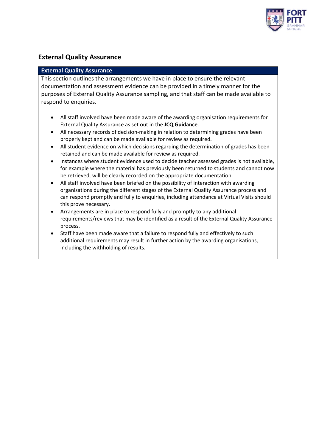

### **External Quality Assurance**

### **External Quality Assurance**

This section outlines the arrangements we have in place to ensure the relevant documentation and assessment evidence can be provided in a timely manner for the purposes of External Quality Assurance sampling, and that staff can be made available to respond to enquiries.

- All staff involved have been made aware of the awarding organisation requirements for External Quality Assurance as set out in the **JCQ Guidance**.
- All necessary records of decision-making in relation to determining grades have been properly kept and can be made available for review as required.
- All student evidence on which decisions regarding the determination of grades has been retained and can be made available for review as required.
- Instances where student evidence used to decide teacher assessed grades is not available, for example where the material has previously been returned to students and cannot now be retrieved, will be clearly recorded on the appropriate documentation.
- All staff involved have been briefed on the possibility of interaction with awarding organisations during the different stages of the External Quality Assurance process and can respond promptly and fully to enquiries, including attendance at Virtual Visits should this prove necessary.
- Arrangements are in place to respond fully and promptly to any additional requirements/reviews that may be identified as a result of the External Quality Assurance process.
- Staff have been made aware that a failure to respond fully and effectively to such additional requirements may result in further action by the awarding organisations, including the withholding of results.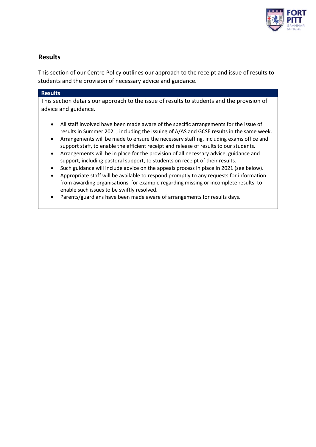

## **Results**

This section of our Centre Policy outlines our approach to the receipt and issue of results to students and the provision of necessary advice and guidance.

### **Results**

This section details our approach to the issue of results to students and the provision of advice and guidance.

- All staff involved have been made aware of the specific arrangements for the issue of results in Summer 2021, including the issuing of A/AS and GCSE results in the same week.
- Arrangements will be made to ensure the necessary staffing, including exams office and support staff, to enable the efficient receipt and release of results to our students.
- Arrangements will be in place for the provision of all necessary advice, guidance and support, including pastoral support, to students on receipt of their results.
- Such guidance will include advice on the appeals process in place in 2021 (see below).
- Appropriate staff will be available to respond promptly to any requests for information from awarding organisations, for example regarding missing or incomplete results, to enable such issues to be swiftly resolved.
- Parents/guardians have been made aware of arrangements for results days.